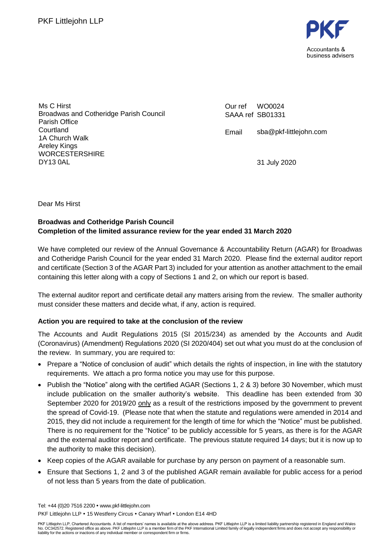

Ms C Hirst Broadwas and Cotheridge Parish Council Parish Office Courtland 1A Church Walk Areley Kings WORCESTERSHIRE DY13 0AL

Our ref SAAA ref SB01331 WO0024

Email sba@pkf-littlejohn.com

31 July 2020

Dear Ms Hirst

### **Broadwas and Cotheridge Parish Council Completion of the limited assurance review for the year ended 31 March 2020**

We have completed our review of the Annual Governance & Accountability Return (AGAR) for Broadwas and Cotheridge Parish Council for the year ended 31 March 2020. Please find the external auditor report and certificate (Section 3 of the AGAR Part 3) included for your attention as another attachment to the email containing this letter along with a copy of Sections 1 and 2, on which our report is based.

The external auditor report and certificate detail any matters arising from the review. The smaller authority must consider these matters and decide what, if any, action is required.

### **Action you are required to take at the conclusion of the review**

The Accounts and Audit Regulations 2015 (SI 2015/234) as amended by the Accounts and Audit (Coronavirus) (Amendment) Regulations 2020 (SI 2020/404) set out what you must do at the conclusion of the review. In summary, you are required to:

- Prepare a "Notice of conclusion of audit" which details the rights of inspection, in line with the statutory requirements. We attach a pro forma notice you may use for this purpose.
- Publish the "Notice" along with the certified AGAR (Sections 1, 2 & 3) before 30 November, which must include publication on the smaller authority's website. This deadline has been extended from 30 September 2020 for 2019/20 only as a result of the restrictions imposed by the government to prevent the spread of Covid-19. (Please note that when the statute and regulations were amended in 2014 and 2015, they did not include a requirement for the length of time for which the "Notice" must be published. There is no requirement for the "Notice" to be publicly accessible for 5 years, as there is for the AGAR and the external auditor report and certificate. The previous statute required 14 days; but it is now up to the authority to make this decision).
- Keep copies of the AGAR available for purchase by any person on payment of a reasonable sum.
- Ensure that Sections 1, 2 and 3 of the published AGAR remain available for public access for a period of not less than 5 years from the date of publication.

Tel: +44 (0)20 7516 2200 www.pkf-littlejohn.com PKF Littlejohn LLP . 15 Westferry Circus . Canary Wharf . London E14 4HD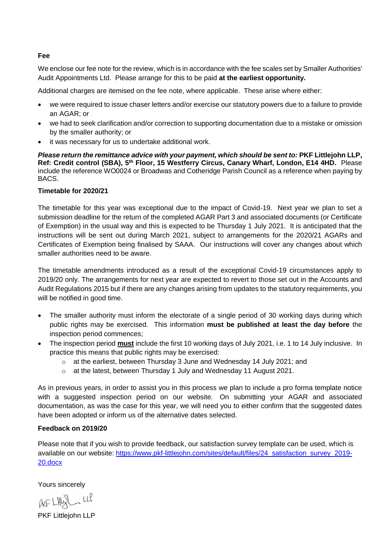#### **Fee**

We enclose our fee note for the review, which is in accordance with the fee scales set by Smaller Authorities' Audit Appointments Ltd. Please arrange for this to be paid **at the earliest opportunity.**

Additional charges are itemised on the fee note, where applicable. These arise where either:

- we were required to issue chaser letters and/or exercise our statutory powers due to a failure to provide an AGAR; or
- we had to seek clarification and/or correction to supporting documentation due to a mistake or omission by the smaller authority; or
- it was necessary for us to undertake additional work.

*Please return the remittance advice with your payment, which should be sent to:* **PKF Littlejohn LLP,**  Ref: Credit control (SBA), 5<sup>th</sup> Floor, 15 Westferry Circus, Canary Wharf, London, E14 4HD. Please include the reference WO0024 or Broadwas and Cotheridge Parish Council as a reference when paying by BACS.

### **Timetable for 2020/21**

The timetable for this year was exceptional due to the impact of Covid-19. Next year we plan to set a submission deadline for the return of the completed AGAR Part 3 and associated documents (or Certificate of Exemption) in the usual way and this is expected to be Thursday 1 July 2021. It is anticipated that the instructions will be sent out during March 2021, subject to arrangements for the 2020/21 AGARs and Certificates of Exemption being finalised by SAAA. Our instructions will cover any changes about which smaller authorities need to be aware.

The timetable amendments introduced as a result of the exceptional Covid-19 circumstances apply to 2019/20 only. The arrangements for next year are expected to revert to those set out in the Accounts and Audit Regulations 2015 but if there are any changes arising from updates to the statutory requirements, you will be notified in good time.

- The smaller authority must inform the electorate of a single period of 30 working days during which public rights may be exercised. This information **must be published at least the day before** the inspection period commences;
- The inspection period **must** include the first 10 working days of July 2021, i.e. 1 to 14 July inclusive. In practice this means that public rights may be exercised:
	- o at the earliest, between Thursday 3 June and Wednesday 14 July 2021; and
	- o at the latest, between Thursday 1 July and Wednesday 11 August 2021.

As in previous years, in order to assist you in this process we plan to include a pro forma template notice with a suggested inspection period on our website. On submitting your AGAR and associated documentation, as was the case for this year, we will need you to either confirm that the suggested dates have been adopted or inform us of the alternative dates selected.

### **Feedback on 2019/20**

Please note that if you wish to provide feedback, our satisfaction survey template can be used, which is available on our website: [https://www.pkf-littlejohn.com/sites/default/files/24\\_satisfaction\\_survey\\_2019-](https://www.pkf-littlejohn.com/sites/default/files/24_satisfaction_survey_2019-20.docx) [20.docx](https://www.pkf-littlejohn.com/sites/default/files/24_satisfaction_survey_2019-20.docx)

Yours sincerely

AF LHUSL LLP

PKF Littlejohn LLP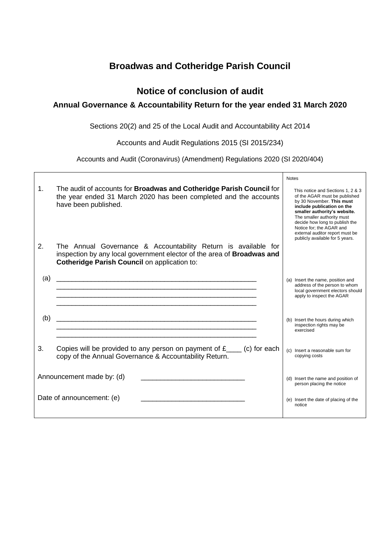## **Broadwas and Cotheridge Parish Council**

### **Notice of conclusion of audit**

### **Annual Governance & Accountability Return for the year ended 31 March 2020**

Sections 20(2) and 25 of the Local Audit and Accountability Act 2014

Accounts and Audit Regulations 2015 (SI 2015/234)

Accounts and Audit (Coronavirus) (Amendment) Regulations 2020 (SI 2020/404)

|                |                                                                                                                                                                                          | <b>Notes</b>                                                                                                                                                                                                                                                                                                                    |
|----------------|------------------------------------------------------------------------------------------------------------------------------------------------------------------------------------------|---------------------------------------------------------------------------------------------------------------------------------------------------------------------------------------------------------------------------------------------------------------------------------------------------------------------------------|
| $1_{-}$        | The audit of accounts for Broadwas and Cotheridge Parish Council for<br>the year ended 31 March 2020 has been completed and the accounts<br>have been published.                         | This notice and Sections 1, 2 & 3<br>of the AGAR must be published<br>by 30 November. This must<br>include publication on the<br>smaller authority's website.<br>The smaller authority must<br>decide how long to publish the<br>Notice for: the AGAR and<br>external auditor report must be<br>publicly available for 5 years. |
| 2 <sub>1</sub> | The Annual Governance & Accountability Return is available for<br>inspection by any local government elector of the area of Broadwas and<br>Cotheridge Parish Council on application to: |                                                                                                                                                                                                                                                                                                                                 |
| (a)            |                                                                                                                                                                                          | (a) Insert the name, position and<br>address of the person to whom<br>local government electors should<br>apply to inspect the AGAR                                                                                                                                                                                             |
| (b)            |                                                                                                                                                                                          | (b) Insert the hours during which<br>inspection rights may be<br>exercised                                                                                                                                                                                                                                                      |
| 3.             | Copies will be provided to any person on payment of $f_{\text{max}}$ (c) for each<br>copy of the Annual Governance & Accountability Return.                                              | (c) Insert a reasonable sum for<br>copying costs                                                                                                                                                                                                                                                                                |
|                | Announcement made by: (d)                                                                                                                                                                | (d) Insert the name and position of<br>person placing the notice                                                                                                                                                                                                                                                                |
|                | Date of announcement: (e)                                                                                                                                                                | (e) Insert the date of placing of the<br>notice                                                                                                                                                                                                                                                                                 |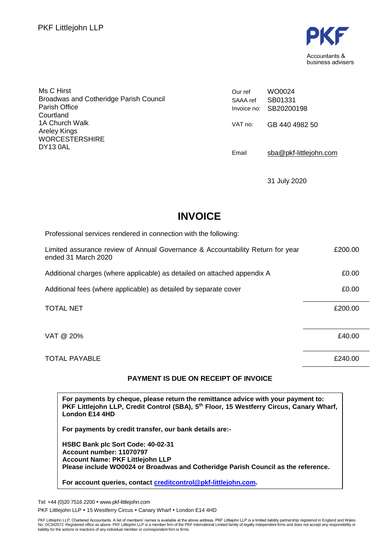

| Ms C Hirst<br><b>Broadwas and Cotheridge Parish Council</b><br>Parish Office<br>Courtland | Our ref<br>SAAA ref | WO0024<br>SB01331<br>Invoice no: SB20200198 |
|-------------------------------------------------------------------------------------------|---------------------|---------------------------------------------|
| 1A Church Walk<br>Areley Kings<br><b>WORCESTERSHIRE</b>                                   | VAT no:             | GB 440 4982 50                              |
| DY13 0AL                                                                                  | Email               | sba@pkf-littlejohn.com                      |

31 July 2020

## **INVOICE**

| Professional services rendered in connection with the following:                                      |         |
|-------------------------------------------------------------------------------------------------------|---------|
| Limited assurance review of Annual Governance & Accountability Return for year<br>ended 31 March 2020 | £200.00 |
| Additional charges (where applicable) as detailed on attached appendix A                              | £0.00   |
| Additional fees (where applicable) as detailed by separate cover                                      | £0.00   |
| <b>TOTAL NET</b>                                                                                      | £200.00 |
| VAT @ 20%                                                                                             | £40.00  |
| <b>TOTAL PAYABLE</b>                                                                                  | £240.00 |

### **PAYMENT IS DUE ON RECEIPT OF INVOICE**

**For payments by cheque, please return the remittance advice with your payment to: PKF Littlejohn LLP, Credit Control (SBA), 5 th Floor, 15 Westferry Circus, Canary Wharf, London E14 4HD**

**For payments by credit transfer, our bank details are:-**

**HSBC Bank plc Sort Code: 40-02-31 Account number: 11070797 Account Name: PKF Littlejohn LLP Please include WO0024 or Broadwas and Cotheridge Parish Council as the reference.**

**For account queries, contact [creditcontrol@pkf-littlejohn.com.](mailto:creditcontrol@pkf-littlejohn.com)**

Tel: +44 (0)20 7516 2200 www.pkf-littlejohn.com

PKF Littlejohn LLP . 15 Westferry Circus . Canary Wharf . London E14 4HD

PKF Littlejohn LLP, Chartered Accountants. A list of members' names is available at the above address. PKF Littlejohn LLP is a limited liability partnership registered in England and Wales<br>No. OC342572. Registered office a